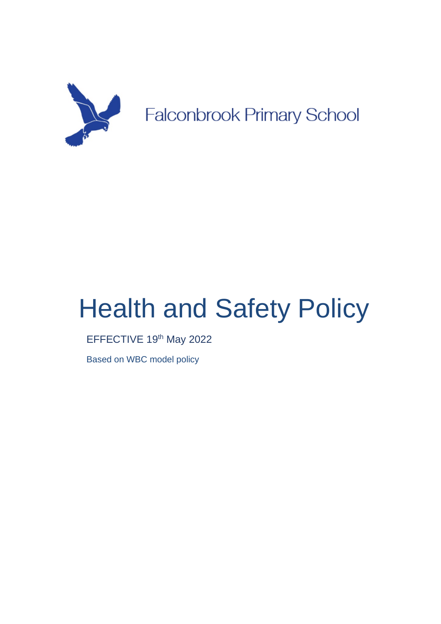

# Health and Safety Policy

EFFECTIVE 19th May 2022

Based on WBC model policy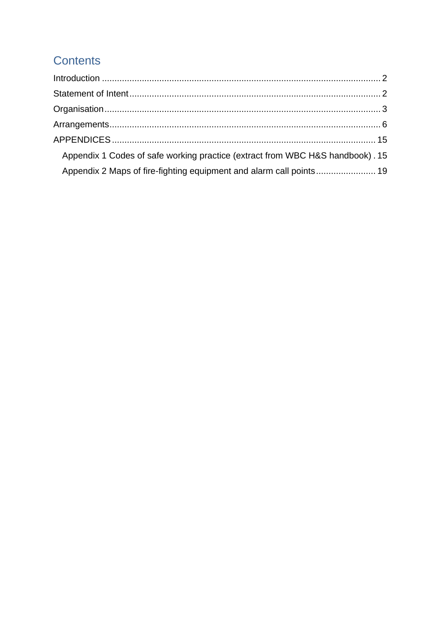# **Contents**

| Appendix 1 Codes of safe working practice (extract from WBC H&S handbook). 15 |  |
|-------------------------------------------------------------------------------|--|
| Appendix 2 Maps of fire-fighting equipment and alarm call points 19           |  |
|                                                                               |  |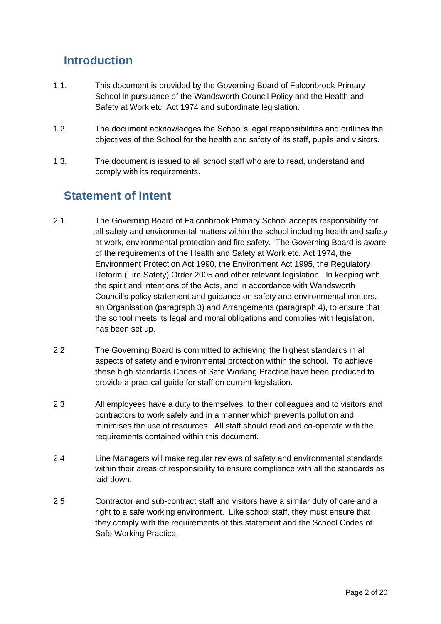# <span id="page-2-0"></span>**Introduction**

- 1.1. This document is provided by the Governing Board of Falconbrook Primary School in pursuance of the Wandsworth Council Policy and the Health and Safety at Work etc. Act 1974 and subordinate legislation.
- 1.2. The document acknowledges the School's legal responsibilities and outlines the objectives of the School for the health and safety of its staff, pupils and visitors.
- 1.3. The document is issued to all school staff who are to read, understand and comply with its requirements.

# <span id="page-2-1"></span>**Statement of Intent**

- 2.1 The Governing Board of Falconbrook Primary School accepts responsibility for all safety and environmental matters within the school including health and safety at work, environmental protection and fire safety. The Governing Board is aware of the requirements of the Health and Safety at Work etc. Act 1974, the Environment Protection Act 1990, the Environment Act 1995, the Regulatory Reform (Fire Safety) Order 2005 and other relevant legislation. In keeping with the spirit and intentions of the Acts, and in accordance with Wandsworth Council's policy statement and guidance on safety and environmental matters, an Organisation (paragraph 3) and Arrangements (paragraph 4), to ensure that the school meets its legal and moral obligations and complies with legislation, has been set up.
- 2.2 The Governing Board is committed to achieving the highest standards in all aspects of safety and environmental protection within the school. To achieve these high standards Codes of Safe Working Practice have been produced to provide a practical guide for staff on current legislation.
- 2.3 All employees have a duty to themselves, to their colleagues and to visitors and contractors to work safely and in a manner which prevents pollution and minimises the use of resources. All staff should read and co-operate with the requirements contained within this document.
- 2.4 Line Managers will make regular reviews of safety and environmental standards within their areas of responsibility to ensure compliance with all the standards as laid down.
- 2.5 Contractor and sub-contract staff and visitors have a similar duty of care and a right to a safe working environment. Like school staff, they must ensure that they comply with the requirements of this statement and the School Codes of Safe Working Practice.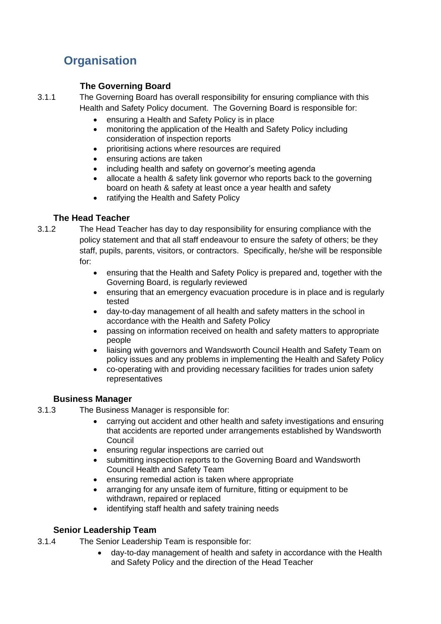# <span id="page-3-0"></span>**Organisation**

# **The Governing Board**

3.1.1 The Governing Board has overall responsibility for ensuring compliance with this Health and Safety Policy document. The Governing Board is responsible for:

- ensuring a Health and Safety Policy is in place
- monitoring the application of the Health and Safety Policy including consideration of inspection reports
- prioritising actions where resources are required
- ensuring actions are taken
- including health and safety on governor's meeting agenda
- allocate a health & safety link governor who reports back to the governing board on heath & safety at least once a year health and safety
- ratifying the Health and Safety Policy

# **The Head Teacher**

3.1.2 The Head Teacher has day to day responsibility for ensuring compliance with the policy statement and that all staff endeavour to ensure the safety of others; be they staff, pupils, parents, visitors, or contractors. Specifically, he/she will be responsible for:

- ensuring that the Health and Safety Policy is prepared and, together with the Governing Board, is regularly reviewed
- ensuring that an emergency evacuation procedure is in place and is regularly tested
- day-to-day management of all health and safety matters in the school in accordance with the Health and Safety Policy
- passing on information received on health and safety matters to appropriate people
- liaising with governors and Wandsworth Council Health and Safety Team on policy issues and any problems in implementing the Health and Safety Policy
- co-operating with and providing necessary facilities for trades union safety representatives

# **Business Manager**

- 3.1.3 The Business Manager is responsible for:
	- carrying out accident and other health and safety investigations and ensuring that accidents are reported under arrangements established by Wandsworth Council
	- ensuring regular inspections are carried out
	- submitting inspection reports to the Governing Board and Wandsworth Council Health and Safety Team
	- ensuring remedial action is taken where appropriate
	- arranging for any unsafe item of furniture, fitting or equipment to be withdrawn, repaired or replaced
	- identifying staff health and safety training needs

# **Senior Leadership Team**

3.1.4 The Senior Leadership Team is responsible for:

• day-to-day management of health and safety in accordance with the Health and Safety Policy and the direction of the Head Teacher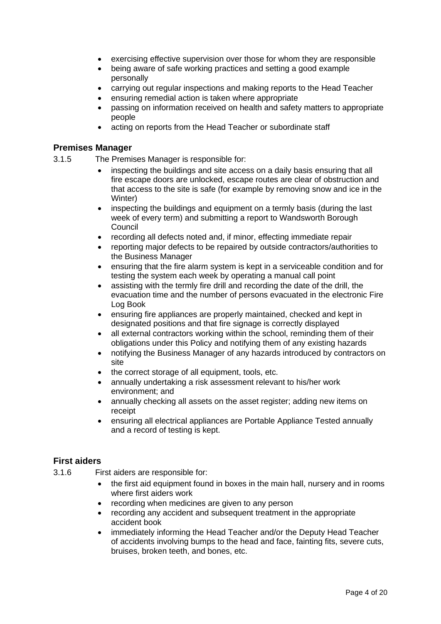- exercising effective supervision over those for whom they are responsible
- being aware of safe working practices and setting a good example personally
- carrying out regular inspections and making reports to the Head Teacher
- ensuring remedial action is taken where appropriate
- passing on information received on health and safety matters to appropriate people
- acting on reports from the Head Teacher or subordinate staff

#### **Premises Manager**

- 3.1.5 The Premises Manager is responsible for:
	- inspecting the buildings and site access on a daily basis ensuring that all fire escape doors are unlocked, escape routes are clear of obstruction and that access to the site is safe (for example by removing snow and ice in the Winter)
	- inspecting the buildings and equipment on a termly basis (during the last week of every term) and submitting a report to Wandsworth Borough Council
	- recording all defects noted and, if minor, effecting immediate repair
	- reporting major defects to be repaired by outside contractors/authorities to the Business Manager
	- ensuring that the fire alarm system is kept in a serviceable condition and for testing the system each week by operating a manual call point
	- assisting with the termly fire drill and recording the date of the drill, the evacuation time and the number of persons evacuated in the electronic Fire Log Book
	- ensuring fire appliances are properly maintained, checked and kept in designated positions and that fire signage is correctly displayed
	- all external contractors working within the school, reminding them of their obligations under this Policy and notifying them of any existing hazards
	- notifying the Business Manager of any hazards introduced by contractors on site
	- the correct storage of all equipment, tools, etc.
	- annually undertaking a risk assessment relevant to his/her work environment; and
	- annually checking all assets on the asset register; adding new items on receipt
	- ensuring all electrical appliances are Portable Appliance Tested annually and a record of testing is kept.

#### **First aiders**

- 3.1.6 First aiders are responsible for:
	- the first aid equipment found in boxes in the main hall, nursery and in rooms where first aiders work
	- recording when medicines are given to any person
	- recording any accident and subsequent treatment in the appropriate accident book
	- immediately informing the Head Teacher and/or the Deputy Head Teacher of accidents involving bumps to the head and face, fainting fits, severe cuts, bruises, broken teeth, and bones, etc.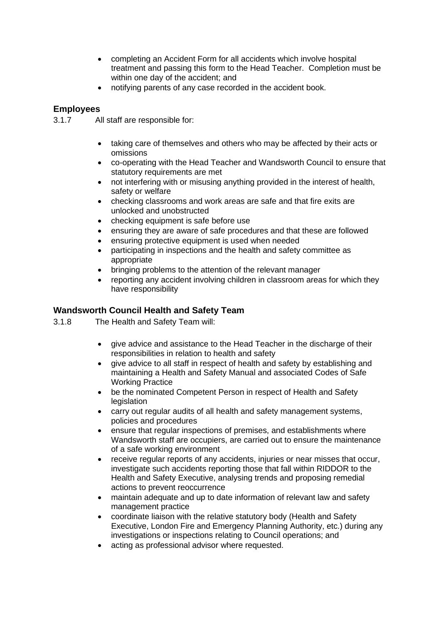- completing an Accident Form for all accidents which involve hospital treatment and passing this form to the Head Teacher. Completion must be within one day of the accident; and
- notifying parents of any case recorded in the accident book.

## **Employees**

3.1.7 All staff are responsible for:

- taking care of themselves and others who may be affected by their acts or omissions
- co-operating with the Head Teacher and Wandsworth Council to ensure that statutory requirements are met
- not interfering with or misusing anything provided in the interest of health, safety or welfare
- checking classrooms and work areas are safe and that fire exits are unlocked and unobstructed
- checking equipment is safe before use
- ensuring they are aware of safe procedures and that these are followed
- ensuring protective equipment is used when needed
- participating in inspections and the health and safety committee as appropriate
- bringing problems to the attention of the relevant manager
- reporting any accident involving children in classroom areas for which they have responsibility

#### **Wandsworth Council Health and Safety Team**

- 3.1.8 The Health and Safety Team will:
	- give advice and assistance to the Head Teacher in the discharge of their responsibilities in relation to health and safety
	- give advice to all staff in respect of health and safety by establishing and maintaining a Health and Safety Manual and associated Codes of Safe Working Practice
	- be the nominated Competent Person in respect of Health and Safety **legislation**
	- carry out regular audits of all health and safety management systems, policies and procedures
	- ensure that regular inspections of premises, and establishments where Wandsworth staff are occupiers, are carried out to ensure the maintenance of a safe working environment
	- receive regular reports of any accidents, injuries or near misses that occur, investigate such accidents reporting those that fall within RIDDOR to the Health and Safety Executive, analysing trends and proposing remedial actions to prevent reoccurrence
	- maintain adequate and up to date information of relevant law and safety management practice
	- coordinate liaison with the relative statutory body (Health and Safety Executive, London Fire and Emergency Planning Authority, etc.) during any investigations or inspections relating to Council operations; and
	- acting as professional advisor where requested.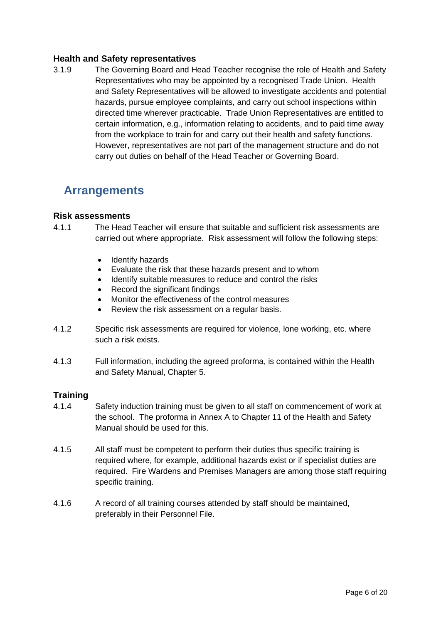#### **Health and Safety representatives**

3.1.9 The Governing Board and Head Teacher recognise the role of Health and Safety Representatives who may be appointed by a recognised Trade Union. Health and Safety Representatives will be allowed to investigate accidents and potential hazards, pursue employee complaints, and carry out school inspections within directed time wherever practicable. Trade Union Representatives are entitled to certain information, e.g., information relating to accidents, and to paid time away from the workplace to train for and carry out their health and safety functions. However, representatives are not part of the management structure and do not carry out duties on behalf of the Head Teacher or Governing Board.

# <span id="page-6-0"></span>**Arrangements**

#### **Risk assessments**

- 4.1.1 The Head Teacher will ensure that suitable and sufficient risk assessments are carried out where appropriate. Risk assessment will follow the following steps:
	- Identify hazards
	- Evaluate the risk that these hazards present and to whom
	- Identify suitable measures to reduce and control the risks
	- Record the significant findings
	- Monitor the effectiveness of the control measures
	- Review the risk assessment on a regular basis.
- 4.1.2 Specific risk assessments are required for violence, lone working, etc. where such a risk exists.
- 4.1.3 Full information, including the agreed proforma, is contained within the Health and Safety Manual, Chapter 5.

#### **Training**

- 4.1.4 Safety induction training must be given to all staff on commencement of work at the school. The proforma in Annex A to Chapter 11 of the Health and Safety Manual should be used for this.
- 4.1.5 All staff must be competent to perform their duties thus specific training is required where, for example, additional hazards exist or if specialist duties are required. Fire Wardens and Premises Managers are among those staff requiring specific training.
- 4.1.6 A record of all training courses attended by staff should be maintained, preferably in their Personnel File.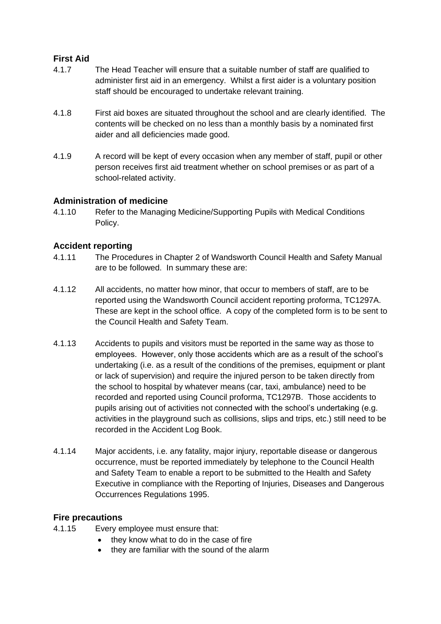# **First Aid**

- 4.1.7 The Head Teacher will ensure that a suitable number of staff are qualified to administer first aid in an emergency. Whilst a first aider is a voluntary position staff should be encouraged to undertake relevant training.
- 4.1.8 First aid boxes are situated throughout the school and are clearly identified. The contents will be checked on no less than a monthly basis by a nominated first aider and all deficiencies made good.
- 4.1.9 A record will be kept of every occasion when any member of staff, pupil or other person receives first aid treatment whether on school premises or as part of a school-related activity.

## **Administration of medicine**

4.1.10 Refer to the Managing Medicine/Supporting Pupils with Medical Conditions Policy.

## **Accident reporting**

- 4.1.11 The Procedures in Chapter 2 of Wandsworth Council Health and Safety Manual are to be followed. In summary these are:
- 4.1.12 All accidents, no matter how minor, that occur to members of staff, are to be reported using the Wandsworth Council accident reporting proforma, TC1297A. These are kept in the school office. A copy of the completed form is to be sent to the Council Health and Safety Team.
- 4.1.13 Accidents to pupils and visitors must be reported in the same way as those to employees. However, only those accidents which are as a result of the school's undertaking (i.e. as a result of the conditions of the premises, equipment or plant or lack of supervision) and require the injured person to be taken directly from the school to hospital by whatever means (car, taxi, ambulance) need to be recorded and reported using Council proforma, TC1297B. Those accidents to pupils arising out of activities not connected with the school's undertaking (e.g. activities in the playground such as collisions, slips and trips, etc.) still need to be recorded in the Accident Log Book.
- 4.1.14 Major accidents, i.e. any fatality, major injury, reportable disease or dangerous occurrence, must be reported immediately by telephone to the Council Health and Safety Team to enable a report to be submitted to the Health and Safety Executive in compliance with the Reporting of Injuries, Diseases and Dangerous Occurrences Regulations 1995.

#### **Fire precautions**

- 4.1.15 Every employee must ensure that:
	- they know what to do in the case of fire
	- they are familiar with the sound of the alarm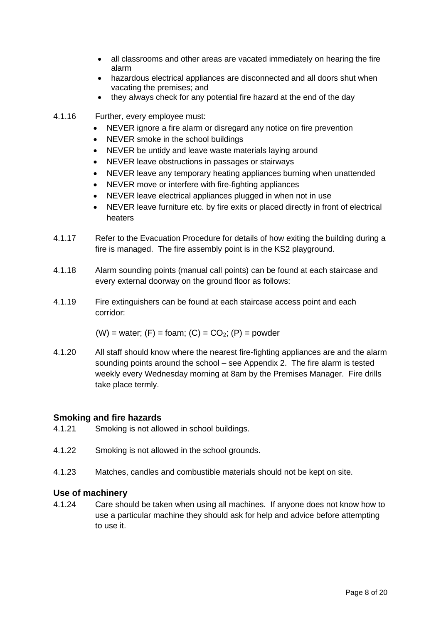- all classrooms and other areas are vacated immediately on hearing the fire alarm
- hazardous electrical appliances are disconnected and all doors shut when vacating the premises; and
- they always check for any potential fire hazard at the end of the day
- 4.1.16 Further, every employee must:
	- NEVER ignore a fire alarm or disregard any notice on fire prevention
	- NEVER smoke in the school buildings
	- NEVER be untidy and leave waste materials laying around
	- NEVER leave obstructions in passages or stairways
	- NEVER leave any temporary heating appliances burning when unattended
	- NEVER move or interfere with fire-fighting appliances
	- NEVER leave electrical appliances plugged in when not in use
	- NEVER leave furniture etc. by fire exits or placed directly in front of electrical heaters
- 4.1.17 Refer to the Evacuation Procedure for details of how exiting the building during a fire is managed. The fire assembly point is in the KS2 playground.
- 4.1.18 Alarm sounding points (manual call points) can be found at each staircase and every external doorway on the ground floor as follows:
- 4.1.19 Fire extinguishers can be found at each staircase access point and each corridor:

 $(W)$  = water;  $(F)$  = foam;  $(C)$  =  $CO<sub>2</sub>$ ;  $(F)$  = powder

4.1.20 All staff should know where the nearest fire-fighting appliances are and the alarm sounding points around the school – see Appendix 2. The fire alarm is tested weekly every Wednesday morning at 8am by the Premises Manager. Fire drills take place termly.

#### **Smoking and fire hazards**

- 4.1.21 Smoking is not allowed in school buildings.
- 4.1.22 Smoking is not allowed in the school grounds.
- 4.1.23 Matches, candles and combustible materials should not be kept on site.

#### **Use of machinery**

4.1.24 Care should be taken when using all machines. If anyone does not know how to use a particular machine they should ask for help and advice before attempting to use it.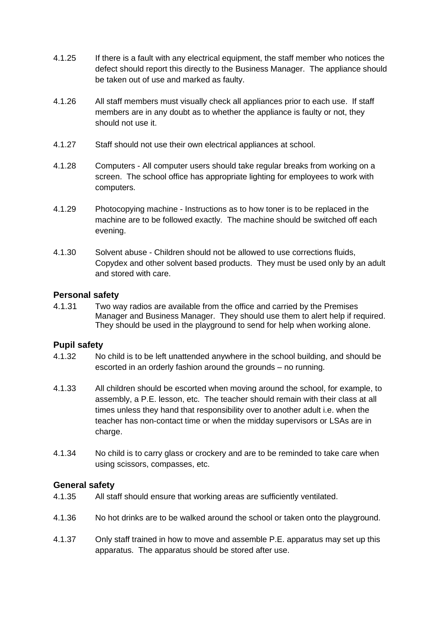- 4.1.25 If there is a fault with any electrical equipment, the staff member who notices the defect should report this directly to the Business Manager. The appliance should be taken out of use and marked as faulty.
- 4.1.26 All staff members must visually check all appliances prior to each use. If staff members are in any doubt as to whether the appliance is faulty or not, they should not use it.
- 4.1.27 Staff should not use their own electrical appliances at school.
- 4.1.28 Computers All computer users should take regular breaks from working on a screen. The school office has appropriate lighting for employees to work with computers.
- 4.1.29 Photocopying machine Instructions as to how toner is to be replaced in the machine are to be followed exactly. The machine should be switched off each evening.
- 4.1.30 Solvent abuse Children should not be allowed to use corrections fluids, Copydex and other solvent based products. They must be used only by an adult and stored with care.

## **Personal safety**

4.1.31 Two way radios are available from the office and carried by the Premises Manager and Business Manager. They should use them to alert help if required. They should be used in the playground to send for help when working alone.

#### **Pupil safety**

- 4.1.32 No child is to be left unattended anywhere in the school building, and should be escorted in an orderly fashion around the grounds – no running.
- 4.1.33 All children should be escorted when moving around the school, for example, to assembly, a P.E. lesson, etc. The teacher should remain with their class at all times unless they hand that responsibility over to another adult i.e. when the teacher has non-contact time or when the midday supervisors or LSAs are in charge.
- 4.1.34 No child is to carry glass or crockery and are to be reminded to take care when using scissors, compasses, etc.

#### **General safety**

- 4.1.35 All staff should ensure that working areas are sufficiently ventilated.
- 4.1.36 No hot drinks are to be walked around the school or taken onto the playground.
- 4.1.37 Only staff trained in how to move and assemble P.E. apparatus may set up this apparatus. The apparatus should be stored after use.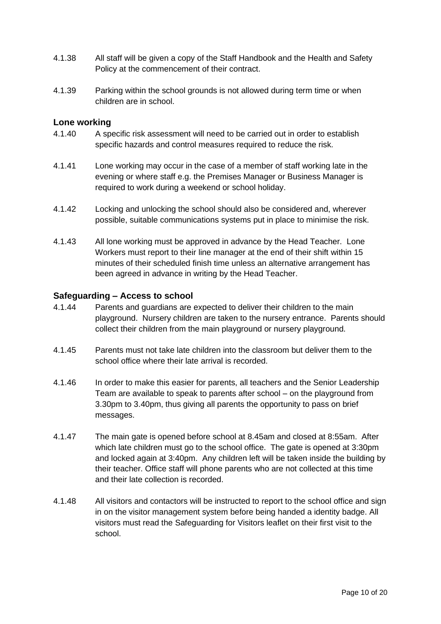- 4.1.38 All staff will be given a copy of the Staff Handbook and the Health and Safety Policy at the commencement of their contract.
- 4.1.39 Parking within the school grounds is not allowed during term time or when children are in school.

#### **Lone working**

- 4.1.40 A specific risk assessment will need to be carried out in order to establish specific hazards and control measures required to reduce the risk.
- 4.1.41 Lone working may occur in the case of a member of staff working late in the evening or where staff e.g. the Premises Manager or Business Manager is required to work during a weekend or school holiday.
- 4.1.42 Locking and unlocking the school should also be considered and, wherever possible, suitable communications systems put in place to minimise the risk.
- 4.1.43 All lone working must be approved in advance by the Head Teacher. Lone Workers must report to their line manager at the end of their shift within 15 minutes of their scheduled finish time unless an alternative arrangement has been agreed in advance in writing by the Head Teacher.

#### **Safeguarding – Access to school**

- 4.1.44 Parents and guardians are expected to deliver their children to the main playground. Nursery children are taken to the nursery entrance. Parents should collect their children from the main playground or nursery playground.
- 4.1.45 Parents must not take late children into the classroom but deliver them to the school office where their late arrival is recorded.
- 4.1.46 In order to make this easier for parents, all teachers and the Senior Leadership Team are available to speak to parents after school – on the playground from 3.30pm to 3.40pm, thus giving all parents the opportunity to pass on brief messages.
- 4.1.47 The main gate is opened before school at 8.45am and closed at 8:55am. After which late children must go to the school office. The gate is opened at 3:30pm and locked again at 3:40pm. Any children left will be taken inside the building by their teacher. Office staff will phone parents who are not collected at this time and their late collection is recorded.
- 4.1.48 All visitors and contactors will be instructed to report to the school office and sign in on the visitor management system before being handed a identity badge. All visitors must read the Safeguarding for Visitors leaflet on their first visit to the school.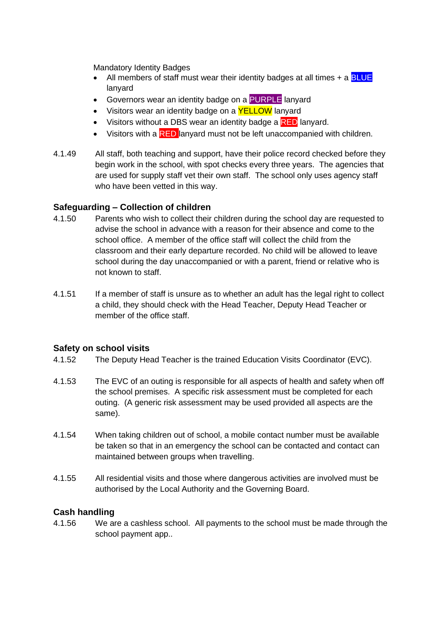Mandatory Identity Badges

- All members of staff must wear their identity badges at all times  $+ a$  BLUE lanyard
- Governors wear an identity badge on a PURPLE lanyard
- Visitors wear an identity badge on a **YELLOW** lanyard
- Visitors without a DBS wear an identity badge a RED lanyard.
- Visitors with a **RED** lanyard must not be left unaccompanied with children.
- 4.1.49 All staff, both teaching and support, have their police record checked before they begin work in the school, with spot checks every three years. The agencies that are used for supply staff vet their own staff. The school only uses agency staff who have been vetted in this way.

#### **Safeguarding – Collection of children**

- 4.1.50 Parents who wish to collect their children during the school day are requested to advise the school in advance with a reason for their absence and come to the school office. A member of the office staff will collect the child from the classroom and their early departure recorded. No child will be allowed to leave school during the day unaccompanied or with a parent, friend or relative who is not known to staff.
- 4.1.51 If a member of staff is unsure as to whether an adult has the legal right to collect a child, they should check with the Head Teacher, Deputy Head Teacher or member of the office staff.

#### **Safety on school visits**

- 4.1.52 The Deputy Head Teacher is the trained Education Visits Coordinator (EVC).
- 4.1.53 The EVC of an outing is responsible for all aspects of health and safety when off the school premises. A specific risk assessment must be completed for each outing. (A generic risk assessment may be used provided all aspects are the same).
- 4.1.54 When taking children out of school, a mobile contact number must be available be taken so that in an emergency the school can be contacted and contact can maintained between groups when travelling.
- 4.1.55 All residential visits and those where dangerous activities are involved must be authorised by the Local Authority and the Governing Board.

#### **Cash handling**

4.1.56 We are a cashless school. All payments to the school must be made through the school payment app..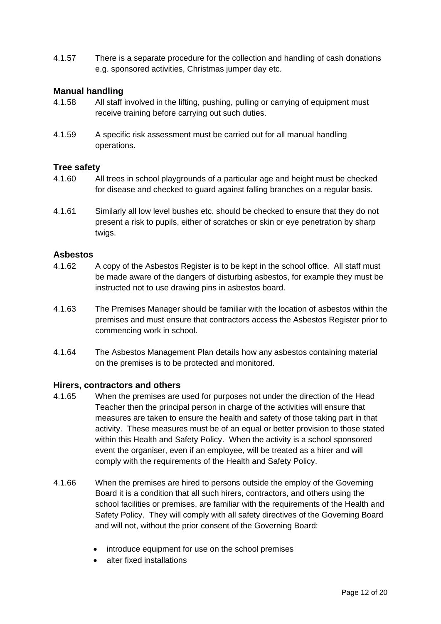4.1.57 There is a separate procedure for the collection and handling of cash donations e.g. sponsored activities, Christmas jumper day etc.

#### **Manual handling**

- 4.1.58 All staff involved in the lifting, pushing, pulling or carrying of equipment must receive training before carrying out such duties.
- 4.1.59 A specific risk assessment must be carried out for all manual handling operations.

#### **Tree safety**

- 4.1.60 All trees in school playgrounds of a particular age and height must be checked for disease and checked to guard against falling branches on a regular basis.
- 4.1.61 Similarly all low level bushes etc. should be checked to ensure that they do not present a risk to pupils, either of scratches or skin or eye penetration by sharp twigs.

#### **Asbestos**

- 4.1.62 A copy of the Asbestos Register is to be kept in the school office. All staff must be made aware of the dangers of disturbing asbestos, for example they must be instructed not to use drawing pins in asbestos board.
- 4.1.63 The Premises Manager should be familiar with the location of asbestos within the premises and must ensure that contractors access the Asbestos Register prior to commencing work in school.
- 4.1.64 The Asbestos Management Plan details how any asbestos containing material on the premises is to be protected and monitored.

#### **Hirers, contractors and others**

- 4.1.65 When the premises are used for purposes not under the direction of the Head Teacher then the principal person in charge of the activities will ensure that measures are taken to ensure the health and safety of those taking part in that activity. These measures must be of an equal or better provision to those stated within this Health and Safety Policy. When the activity is a school sponsored event the organiser, even if an employee, will be treated as a hirer and will comply with the requirements of the Health and Safety Policy.
- 4.1.66 When the premises are hired to persons outside the employ of the Governing Board it is a condition that all such hirers, contractors, and others using the school facilities or premises, are familiar with the requirements of the Health and Safety Policy. They will comply with all safety directives of the Governing Board and will not, without the prior consent of the Governing Board:
	- introduce equipment for use on the school premises
	- alter fixed installations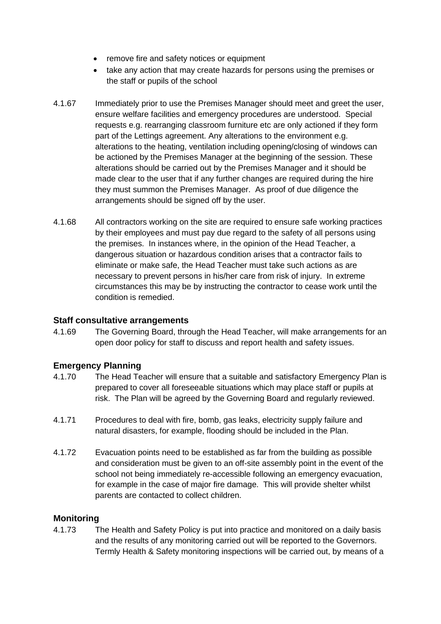- remove fire and safety notices or equipment
- take any action that may create hazards for persons using the premises or the staff or pupils of the school
- 4.1.67 Immediately prior to use the Premises Manager should meet and greet the user, ensure welfare facilities and emergency procedures are understood. Special requests e.g. rearranging classroom furniture etc are only actioned if they form part of the Lettings agreement. Any alterations to the environment e.g. alterations to the heating, ventilation including opening/closing of windows can be actioned by the Premises Manager at the beginning of the session. These alterations should be carried out by the Premises Manager and it should be made clear to the user that if any further changes are required during the hire they must summon the Premises Manager. As proof of due diligence the arrangements should be signed off by the user.
- 4.1.68 All contractors working on the site are required to ensure safe working practices by their employees and must pay due regard to the safety of all persons using the premises. In instances where, in the opinion of the Head Teacher, a dangerous situation or hazardous condition arises that a contractor fails to eliminate or make safe, the Head Teacher must take such actions as are necessary to prevent persons in his/her care from risk of injury. In extreme circumstances this may be by instructing the contractor to cease work until the condition is remedied.

#### **Staff consultative arrangements**

4.1.69 The Governing Board, through the Head Teacher, will make arrangements for an open door policy for staff to discuss and report health and safety issues.

#### **Emergency Planning**

- 4.1.70 The Head Teacher will ensure that a suitable and satisfactory Emergency Plan is prepared to cover all foreseeable situations which may place staff or pupils at risk. The Plan will be agreed by the Governing Board and regularly reviewed.
- 4.1.71 Procedures to deal with fire, bomb, gas leaks, electricity supply failure and natural disasters, for example, flooding should be included in the Plan.
- 4.1.72 Evacuation points need to be established as far from the building as possible and consideration must be given to an off-site assembly point in the event of the school not being immediately re-accessible following an emergency evacuation, for example in the case of major fire damage. This will provide shelter whilst parents are contacted to collect children.

#### **Monitoring**

4.1.73 The Health and Safety Policy is put into practice and monitored on a daily basis and the results of any monitoring carried out will be reported to the Governors. Termly Health & Safety monitoring inspections will be carried out, by means of a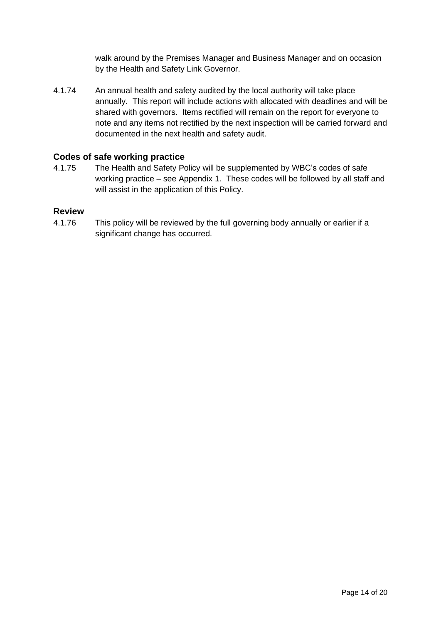walk around by the Premises Manager and Business Manager and on occasion by the Health and Safety Link Governor.

4.1.74 An annual health and safety audited by the local authority will take place annually. This report will include actions with allocated with deadlines and will be shared with governors. Items rectified will remain on the report for everyone to note and any items not rectified by the next inspection will be carried forward and documented in the next health and safety audit.

#### **Codes of safe working practice**

4.1.75 The Health and Safety Policy will be supplemented by WBC's codes of safe working practice – see Appendix 1. These codes will be followed by all staff and will assist in the application of this Policy.

#### **Review**

4.1.76 This policy will be reviewed by the full governing body annually or earlier if a significant change has occurred.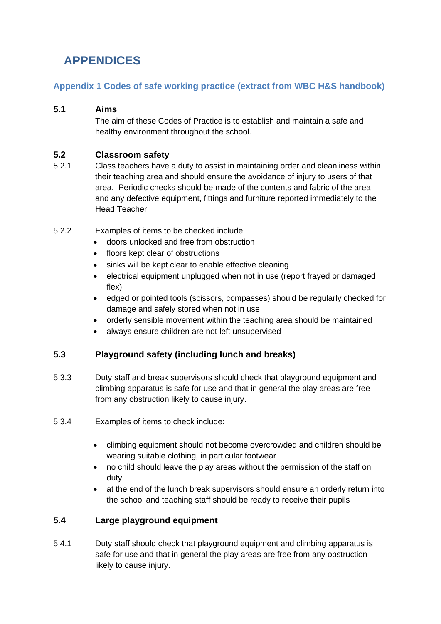# <span id="page-15-0"></span>**APPENDICES**

# <span id="page-15-1"></span>**Appendix 1 Codes of safe working practice (extract from WBC H&S handbook)**

# **5.1 Aims**

The aim of these Codes of Practice is to establish and maintain a safe and healthy environment throughout the school.

# **5.2 Classroom safety**

- 5.2.1 Class teachers have a duty to assist in maintaining order and cleanliness within their teaching area and should ensure the avoidance of injury to users of that area. Periodic checks should be made of the contents and fabric of the area and any defective equipment, fittings and furniture reported immediately to the Head Teacher.
- 5.2.2 Examples of items to be checked include:
	- doors unlocked and free from obstruction
	- floors kept clear of obstructions
	- sinks will be kept clear to enable effective cleaning
	- electrical equipment unplugged when not in use (report frayed or damaged flex)
	- edged or pointed tools (scissors, compasses) should be regularly checked for damage and safely stored when not in use
	- orderly sensible movement within the teaching area should be maintained
	- always ensure children are not left unsupervised

# **5.3 Playground safety (including lunch and breaks)**

- 5.3.3 Duty staff and break supervisors should check that playground equipment and climbing apparatus is safe for use and that in general the play areas are free from any obstruction likely to cause injury.
- 5.3.4 Examples of items to check include:
	- climbing equipment should not become overcrowded and children should be wearing suitable clothing, in particular footwear
	- no child should leave the play areas without the permission of the staff on duty
	- at the end of the lunch break supervisors should ensure an orderly return into the school and teaching staff should be ready to receive their pupils

# **5.4 Large playground equipment**

5.4.1 Duty staff should check that playground equipment and climbing apparatus is safe for use and that in general the play areas are free from any obstruction likely to cause injury.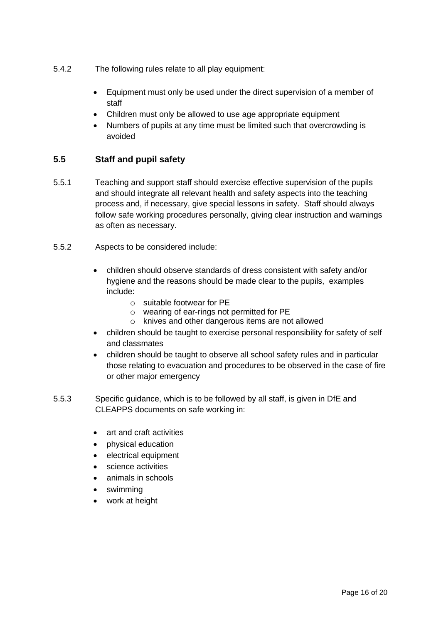- 5.4.2 The following rules relate to all play equipment:
	- Equipment must only be used under the direct supervision of a member of staff
	- Children must only be allowed to use age appropriate equipment
	- Numbers of pupils at any time must be limited such that overcrowding is avoided

#### **5.5 Staff and pupil safety**

- 5.5.1 Teaching and support staff should exercise effective supervision of the pupils and should integrate all relevant health and safety aspects into the teaching process and, if necessary, give special lessons in safety. Staff should always follow safe working procedures personally, giving clear instruction and warnings as often as necessary.
- 5.5.2 Aspects to be considered include:
	- children should observe standards of dress consistent with safety and/or hygiene and the reasons should be made clear to the pupils, examples include:
		- o suitable footwear for PE
		- o wearing of ear-rings not permitted for PE
		- o knives and other dangerous items are not allowed
	- children should be taught to exercise personal responsibility for safety of self and classmates
	- children should be taught to observe all school safety rules and in particular those relating to evacuation and procedures to be observed in the case of fire or other major emergency
- 5.5.3 Specific guidance, which is to be followed by all staff, is given in DfE and CLEAPPS documents on safe working in:
	- art and craft activities
	- physical education
	- electrical equipment
	- science activities
	- animals in schools
	- swimming
	- work at height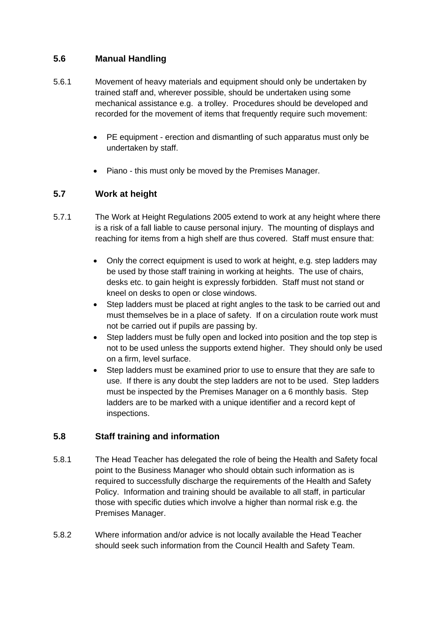# **5.6 Manual Handling**

- 5.6.1 Movement of heavy materials and equipment should only be undertaken by trained staff and, wherever possible, should be undertaken using some mechanical assistance e.g. a trolley. Procedures should be developed and recorded for the movement of items that frequently require such movement:
	- PE equipment erection and dismantling of such apparatus must only be undertaken by staff.
	- Piano this must only be moved by the Premises Manager.

## **5.7 Work at height**

- 5.7.1 The Work at Height Regulations 2005 extend to work at any height where there is a risk of a fall liable to cause personal injury. The mounting of displays and reaching for items from a high shelf are thus covered. Staff must ensure that:
	- Only the correct equipment is used to work at height, e.g. step ladders may be used by those staff training in working at heights. The use of chairs, desks etc. to gain height is expressly forbidden. Staff must not stand or kneel on desks to open or close windows.
	- Step ladders must be placed at right angles to the task to be carried out and must themselves be in a place of safety. If on a circulation route work must not be carried out if pupils are passing by.
	- Step ladders must be fully open and locked into position and the top step is not to be used unless the supports extend higher. They should only be used on a firm, level surface.
	- Step ladders must be examined prior to use to ensure that they are safe to use. If there is any doubt the step ladders are not to be used. Step ladders must be inspected by the Premises Manager on a 6 monthly basis. Step ladders are to be marked with a unique identifier and a record kept of inspections.

#### **5.8 Staff training and information**

- 5.8.1 The Head Teacher has delegated the role of being the Health and Safety focal point to the Business Manager who should obtain such information as is required to successfully discharge the requirements of the Health and Safety Policy. Information and training should be available to all staff, in particular those with specific duties which involve a higher than normal risk e.g. the Premises Manager.
- 5.8.2 Where information and/or advice is not locally available the Head Teacher should seek such information from the Council Health and Safety Team.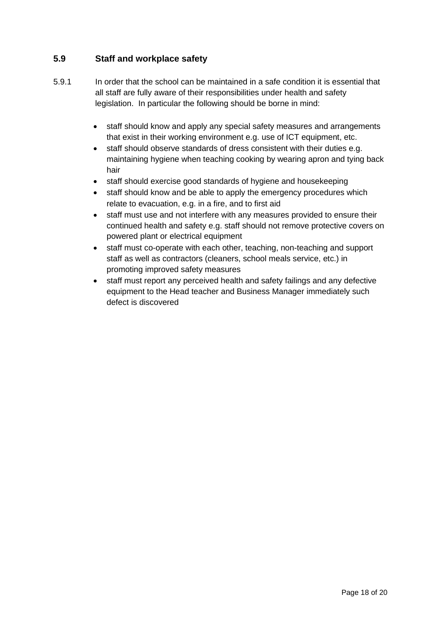# **5.9 Staff and workplace safety**

- 5.9.1 In order that the school can be maintained in a safe condition it is essential that all staff are fully aware of their responsibilities under health and safety legislation. In particular the following should be borne in mind:
	- staff should know and apply any special safety measures and arrangements that exist in their working environment e.g. use of ICT equipment, etc.
	- staff should observe standards of dress consistent with their duties e.g. maintaining hygiene when teaching cooking by wearing apron and tying back hair
	- staff should exercise good standards of hygiene and housekeeping
	- staff should know and be able to apply the emergency procedures which relate to evacuation, e.g. in a fire, and to first aid
	- staff must use and not interfere with any measures provided to ensure their continued health and safety e.g. staff should not remove protective covers on powered plant or electrical equipment
	- staff must co-operate with each other, teaching, non-teaching and support staff as well as contractors (cleaners, school meals service, etc.) in promoting improved safety measures
	- staff must report any perceived health and safety failings and any defective equipment to the Head teacher and Business Manager immediately such defect is discovered